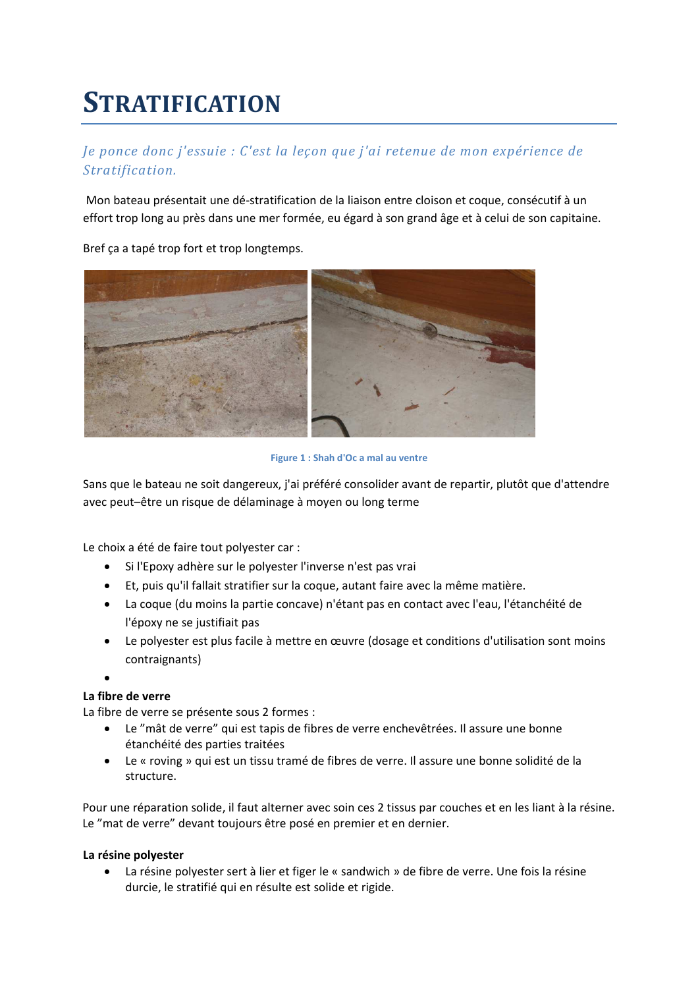# **STRATIFICATION**

# Je ponce donc j'essuie : C'est la leçon que j'ai retenue de mon expérience de Stratification.

Mon bateau présentait une dé-stratification de la liaison entre cloison et coque, consécutif à un effort trop long au près dans une mer formée, eu égard à son grand âge et à celui de son capitaine.

Bref ça a tapé trop fort et trop longtemps.



Figure 1 : Shah d'Oc a mal au ventre

Sans que le bateau ne soit dangereux, j'ai préféré consolider avant de repartir, plutôt que d'attendre avec peut-être un risque de délaminage à moyen ou long terme

Le choix a été de faire tout polyester car :

- Si l'Epoxy adhère sur le polyester l'inverse n'est pas vrai
- Et, puis qu'il fallait stratifier sur la coque, autant faire avec la même matière.
- La coque (du moins la partie concave) n'étant pas en contact avec l'eau, l'étanchéité de l'époxy ne se justifiait pas
- Le polyester est plus facile à mettre en œuvre (dosage et conditions d'utilisation sont moins contraignants)
- 

#### La fibre de verre

La fibre de verre se présente sous 2 formes :

- Le "mât de verre" qui est tapis de fibres de verre enchevêtrées. Il assure une bonne étanchéité des parties traitées
- Le « roving » qui est un tissu tramé de fibres de verre. Il assure une bonne solidité de la structure.

Pour une réparation solide, il faut alterner avec soin ces 2 tissus par couches et en les liant à la résine. Le "mat de verre" devant toujours être posé en premier et en dernier.

#### La résine polyester

• La résine polyester sert à lier et figer le « sandwich » de fibre de verre. Une fois la résine durcie, le stratifié qui en résulte est solide et rigide.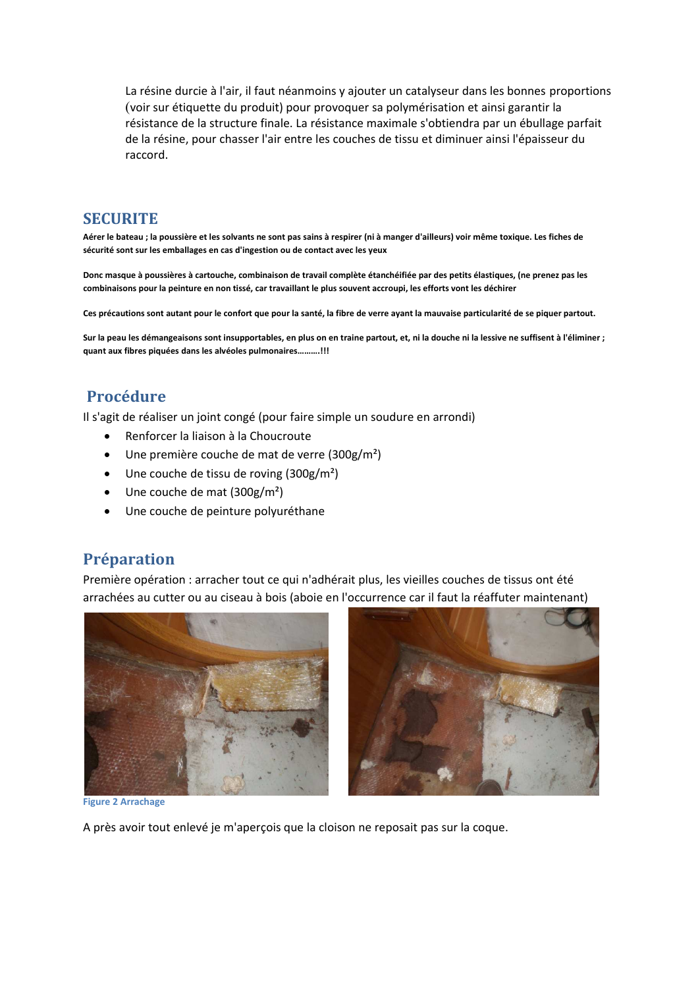La résine durcie à l'air, il faut néanmoins y ajouter un catalyseur dans les bonnes proportions (voir sur étiquette du produit) pour provoquer sa polymérisation et ainsi garantir la résistance de la structure finale. La résistance maximale s'obtiendra par un ébullage parfait de la résine, pour chasser l'air entre les couches de tissu et diminuer ainsi l'épaisseur du raccord.

#### **SECURITE**

Aérer le bateau ; la poussière et les solvants ne sont pas sains à respirer (ni à manger d'ailleurs) voir même toxique. Les fiches de sécurité sont sur les emballages en cas d'ingestion ou de contact avec les yeux

Donc masque à poussières à cartouche, combinaison de travail complète étanchéifiée par des petits élastiques, (ne prenez pas les combinaisons pour la peinture en non tissé, car travaillant le plus souvent accroupi, les efforts vont les déchirer

Ces précautions sont autant pour le confort que pour la santé, la fibre de verre ayant la mauvaise particularité de se piquer partout.

Sur la peau les démangeaisons sont insupportables, en plus on en traine partout, et, ni la douche ni la lessive ne suffisent à l'éliminer ; quant aux fibres piquées dans les alvéoles pulmonaires..........!!!

# **Procédure**

Il s'agit de réaliser un joint congé (pour faire simple un soudure en arrondi)

- Renforcer la liaison à la Choucroute
- Une première couche de mat de verre  $(300g/m^2)$
- Une couche de tissu de roving  $(300g/m<sup>2</sup>)$
- Une couche de mat  $(300g/m^2)$
- Une couche de peinture polyuréthane

## Préparation

Première opération : arracher tout ce qui n'adhérait plus, les vieilles couches de tissus ont été arrachées au cutter ou au ciseau à bois (aboie en l'occurrence car il faut la réaffuter maintenant)





**Figure 2 Arrachage** 

A près avoir tout enlevé je m'aperçois que la cloison ne reposait pas sur la coque.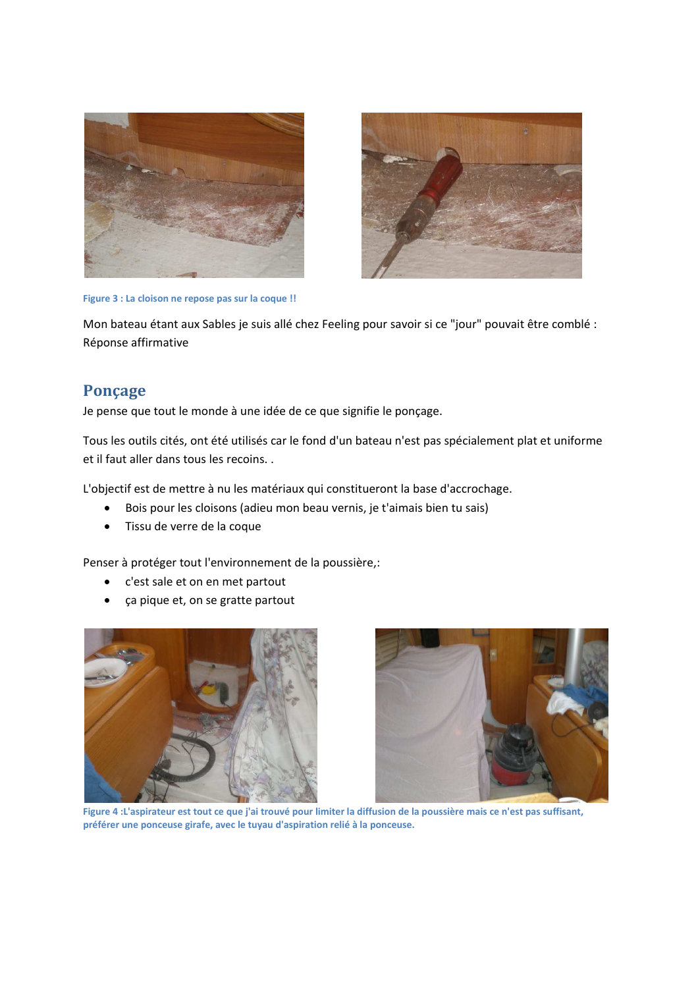



Figure 3 : La cloison ne repose pas sur la coque !!

Mon bateau étant aux Sables je suis allé chez Feeling pour savoir si ce "jour" pouvait être comblé : Réponse affirmative

## Ponçage

Je pense que tout le monde à une idée de ce que signifie le ponçage.

Tous les outils cités, ont été utilisés car le fond d'un bateau n'est pas spécialement plat et uniforme et il faut aller dans tous les recoins..

L'objectif est de mettre à nu les matériaux qui constitueront la base d'accrochage.

- Bois pour les cloisons (adieu mon beau vernis, je t'aimais bien tu sais)  $\bullet$
- Tissu de verre de la coque

Penser à protéger tout l'environnement de la poussière,:

- c'est sale et on en met partout  $\bullet$
- ça pique et, on se gratte partout





Figure 4 : L'aspirateur est tout ce que j'ai trouvé pour limiter la diffusion de la poussière mais ce n'est pas suffisant, préférer une ponceuse girafe, avec le tuyau d'aspiration relié à la ponceuse.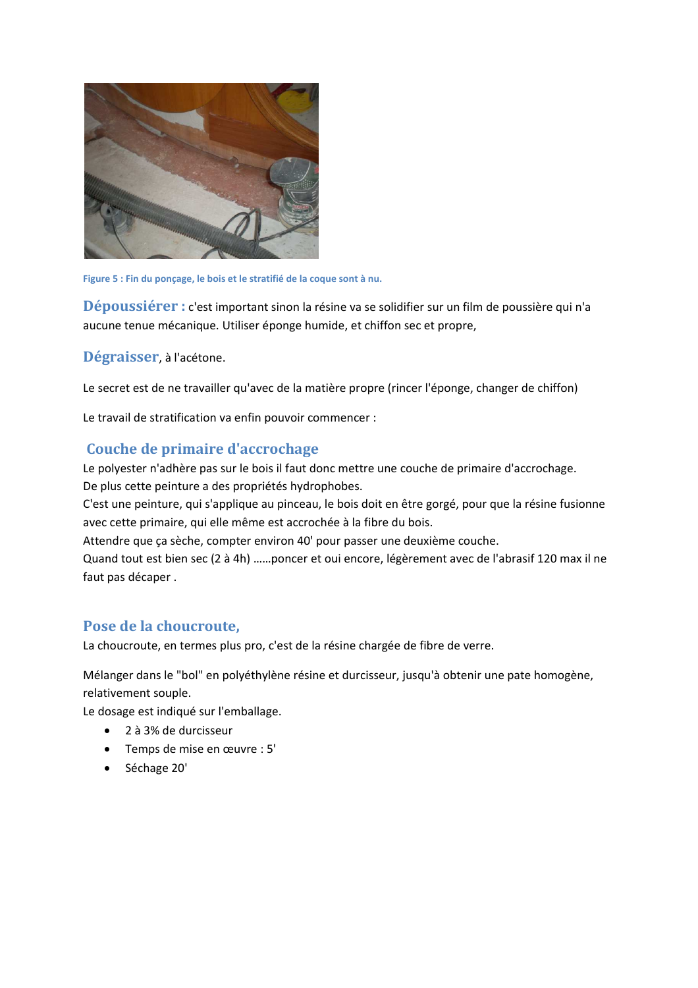

Figure 5 : Fin du ponçage, le bois et le stratifié de la coque sont à nu.

Dépoussiérer : c'est important sinon la résine va se solidifier sur un film de poussière qui n'a aucune tenue mécanique. Utiliser éponge humide, et chiffon sec et propre,

Dégraisser, à l'acétone.

Le secret est de ne travailler qu'avec de la matière propre (rincer l'éponge, changer de chiffon)

Le travail de stratification va enfin pouvoir commencer :

# Couche de primaire d'accrochage

Le polyester n'adhère pas sur le bois il faut donc mettre une couche de primaire d'accrochage. De plus cette peinture a des propriétés hydrophobes.

C'est une peinture, qui s'applique au pinceau, le bois doit en être gorgé, pour que la résine fusionne avec cette primaire, qui elle même est accrochée à la fibre du bois.

Attendre que ça sèche, compter environ 40' pour passer une deuxième couche.

Quand tout est bien sec (2 à 4h) ......poncer et oui encore, légèrement avec de l'abrasif 120 max il ne faut pas décaper.

# Pose de la choucroute.

La choucroute, en termes plus pro, c'est de la résine chargée de fibre de verre.

Mélanger dans le "bol" en polyéthylène résine et durcisseur, jusqu'à obtenir une pate homogène, relativement souple.

Le dosage est indiqué sur l'emballage.

- $\bullet$  2 à 3% de durcisseur
- Temps de mise en œuvre : 5'
- Séchage 20'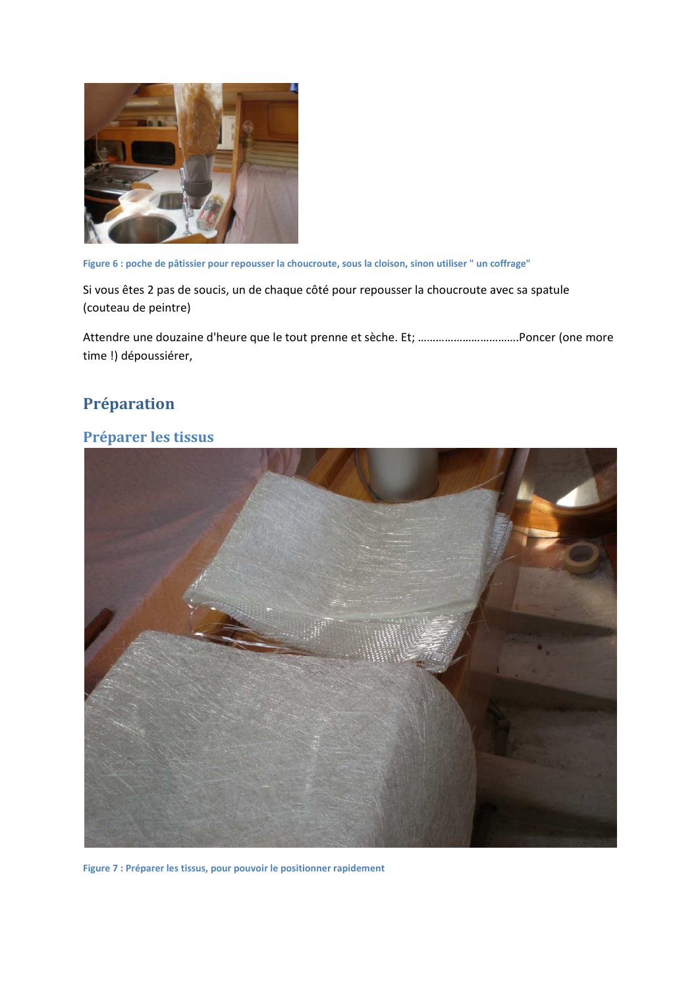

Figure 6 : poche de pâtissier pour repousser la choucroute, sous la cloison, sinon utiliser " un coffrage"

Si vous êtes 2 pas de soucis, un de chaque côté pour repousser la choucroute avec sa spatule (couteau de peintre)

time !) dépoussiérer,

# Préparation

# Préparer les tissus



Figure 7 : Préparer les tissus, pour pouvoir le positionner rapidement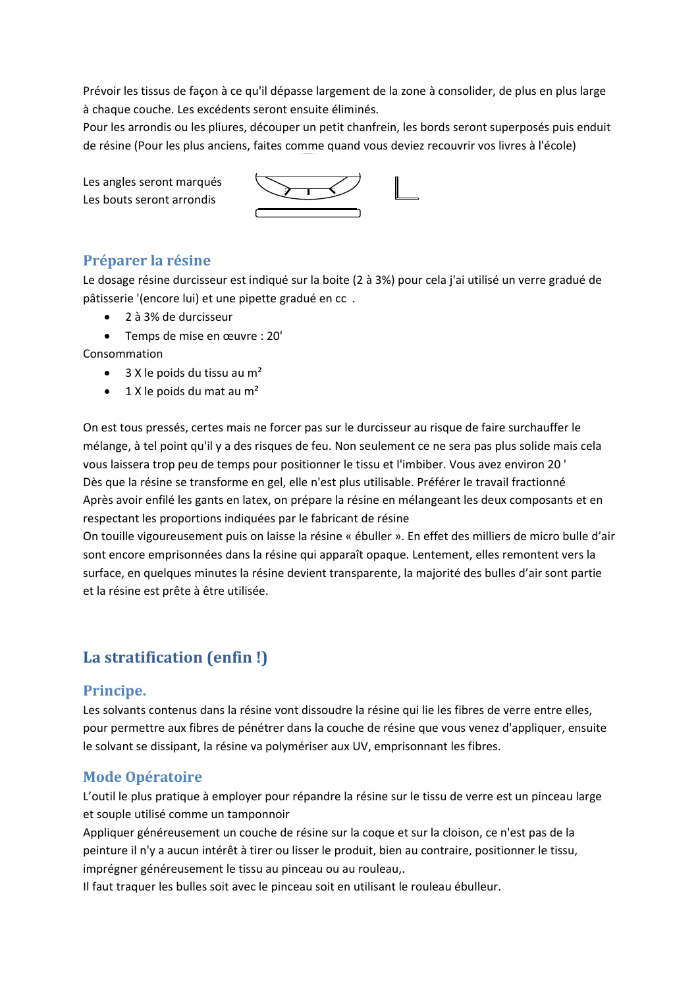Prévoir les tissus de façon à ce qu'il dépasse largement de la zone à consolider, de plus en plus large à chaque couche. Les excédents seront ensuite éliminés.

Pour les arrondis ou les pliures, découper un petit chanfrein, les bords seront superposés puis enduit de résine (Pour les plus anciens, faites comme quand vous deviez recouvrir vos livres à l'école)

Les angles seront marqués Les bouts seront arrondis



# Préparer la résine

Le dosage résine durcisseur est indiqué sur la boite (2 à 3%) pour cela j'ai utilisé un verre gradué de pâtisserie '(encore lui) et une pipette gradué en cc.

- $\bullet$  2 à 3% de durcisseur
- Temps de mise en œuvre : 20'

Consommation

- 3 X le poids du tissu au m<sup>2</sup>
- 1 X le poids du mat au m<sup>2</sup>

On est tous pressés, certes mais ne forcer pas sur le durcisseur au risque de faire surchauffer le mélange, à tel point qu'il y a des risques de feu. Non seulement ce ne sera pas plus solide mais cela vous laissera trop peu de temps pour positionner le tissu et l'imbiber. Vous avez environ 20 ' Dès que la résine se transforme en gel, elle n'est plus utilisable. Préférer le travail fractionné Après avoir enfilé les gants en latex, on prépare la résine en mélangeant les deux composants et en respectant les proportions indiquées par le fabricant de résine

On touille vigoureusement puis on laisse la résine « ébuller ». En effet des milliers de micro bulle d'air sont encore emprisonnées dans la résine qui apparaît opaque. Lentement, elles remontent vers la surface, en quelques minutes la résine devient transparente, la majorité des bulles d'air sont partie et la résine est prête à être utilisée.

# La stratification (enfin!)

## Principe.

Les solvants contenus dans la résine vont dissoudre la résine qui lie les fibres de verre entre elles, pour permettre aux fibres de pénétrer dans la couche de résine que vous venez d'appliquer, ensuite le solvant se dissipant, la résine va polymériser aux UV, emprisonnant les fibres.

# **Mode Opératoire**

L'outil le plus pratique à employer pour répandre la résine sur le tissu de verre est un pinceau large et souple utilisé comme un tamponnoir

Appliquer généreusement un couche de résine sur la coque et sur la cloison, ce n'est pas de la peinture il n'y a aucun intérêt à tirer ou lisser le produit, bien au contraire, positionner le tissu, imprégner généreusement le tissu au pinceau ou au rouleau,.

Il faut traquer les bulles soit avec le pinceau soit en utilisant le rouleau ébulleur.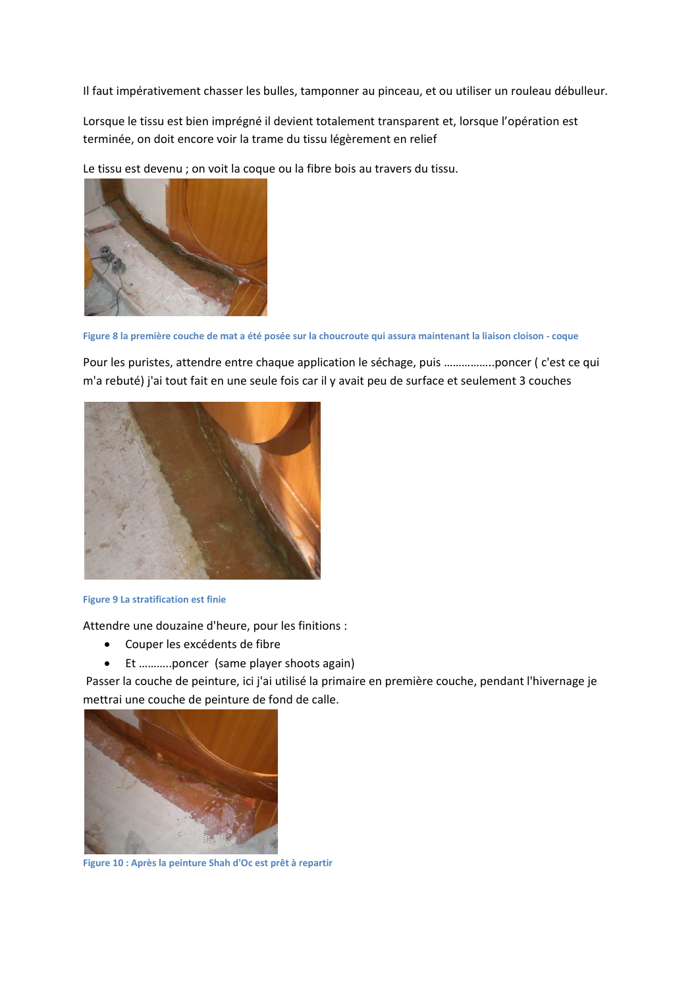Il faut impérativement chasser les bulles, tamponner au pinceau, et ou utiliser un rouleau débulleur.

Lorsque le tissu est bien imprégné il devient totalement transparent et, lorsque l'opération est terminée, on doit encore voir la trame du tissu légèrement en relief

Le tissu est devenu ; on voit la coque ou la fibre bois au travers du tissu.



Figure 8 la première couche de mat a été posée sur la choucroute qui assura maintenant la liaison cloison - coque

Pour les puristes, attendre entre chaque application le séchage, puis ..................poncer (c'est ce qui m'a rebuté) j'ai tout fait en une seule fois car il y avait peu de surface et seulement 3 couches



#### **Figure 9 La stratification est finie**

Attendre une douzaine d'heure, pour les finitions :

- Couper les excédents de fibre
- Et ...........poncer (same player shoots again)

Passer la couche de peinture, ici j'ai utilisé la primaire en première couche, pendant l'hivernage je mettrai une couche de peinture de fond de calle.



Figure 10 : Après la peinture Shah d'Oc est prêt à repartir